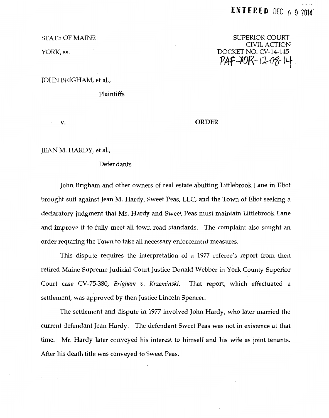#### STATE OF MAINE

YORK, ss.

# SUPERIOR COURT CIVIL ACTION DOCKET NO. CV-14-145  $PAF - I0R - 12-08$  14

JOHN BRIGHAM, et al.,

Plaintiffs

v.

## ORDER

JEAN M. HARDY, et al.,

## Defendants

John Brigham and other owners of real estate abutting Littlebrook Lane in Eliot brought suit against Jean M. Hardy, Sweet Peas, LLC, and the Town of Eliot seeking a declaratory judgment that Ms. Hardy and Sweet Peas must maintain Littlebrook Lane and improve it to fully meet all town road standards. The complaint also sought an order requiring the Town to take all necessary enforcement measures.

This dispute requires the interpretation of a 1977 referee's report from then retired Maine'Supreme Judicial Court Justice Donald Webber in York County Superior Court case CV-75-380, *Brigham v. Krzeminski.* That report, which effectuated a settlement, was approved by then Justice Lincoln Spencer.

The settlement and dispute in 1977 involved John Hardy, who later married the current defendant Jean Hardy. The defendant Sweet Peas was not in existence at that time. Mr. Hardy later conveyed his interest to himself and his wife as joint tenants. After his death title was conveyed to Sweet Peas.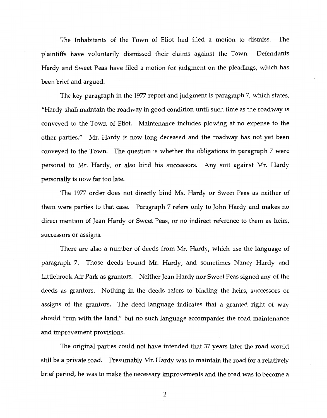The Inhabitants of the Town of Eliot had filed a motion to dismiss. The plaintiffs have voluntarily dismissed their claims against the Town. Defendants Hardy and Sweet Peas have filed a motion for judgment on the pleadings, which has been brief and argued.

The key paragraph in the 1977 report and judgment is paragraph 7, which states, "Hardy shall maintain the roadway in good condition until such time as the roadway is conveyed to the Town of Eliot. Maintenance includes plowing at no expense to the other parties." Mr. Hardy is now long deceased and the roadway has not yet been conveyed to the Town. The question is whether the obligations in paragraph 7 were personal to Mr. Hardy, or also bind his successors. Any suit against Mr. Hardy personally is now far too late.

The 1977 order does not directly bind Ms. Hardy or Sweet Peas as neither of them were parties to that case. Paragraph 7 refers only to John Hardy and makes no direct mention of Jean Hardy or Sweet Peas, or no indirect reference to them as heirs, successors or assigns.

There are also a number of deeds from Mr. Hardy, which use the language of paragraph 7. Those deeds bound Mr. Hardy, and sometimes Nancy Hardy and Littlebrook Air Park as grantors. Neither Jean Hardy nor Sweet Peas signed any of the deeds as grantors. Nothing in the deeds refers to binding the heirs, successors or assigns of the grantors. The deed language indicates that a granted right of way should "run with the land," but no such language accompanies the road maintenance and improvement provisions.

The original parties could not have intended that 37 years later the road would still be a private road. Presumably Mr. Hardy was to maintain the road for a relatively brief period, he was to make the necessary improvements and the road was to become a

2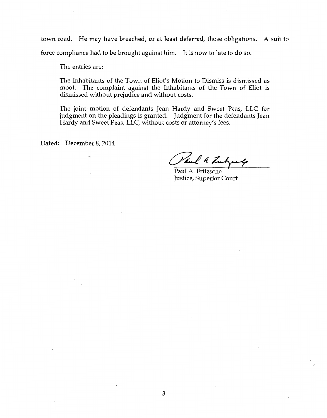town road. He may have breached, or at least deferred, those obligations. A suit to force compliance had to be brought against him. It is now to late to do so.

The entries are:

The Inhabitants of the Town of Eliot's Motion to Dismiss is dismissed as moot. The complaint against the Inhabitants of the Town of Eliot is dismissed without prejudice and without costs.

The joint motion of defendants Jean Hardy and Sweet Peas, LLC for judgment on the pleadings is granted. Judgment for the defendants Jean Hardy and Sweet Peas, LLC, without costs or attorney's fees.

Dated: December 8, 2014

al 4 French

Paul A. Fritzsche Justice, Superior Court